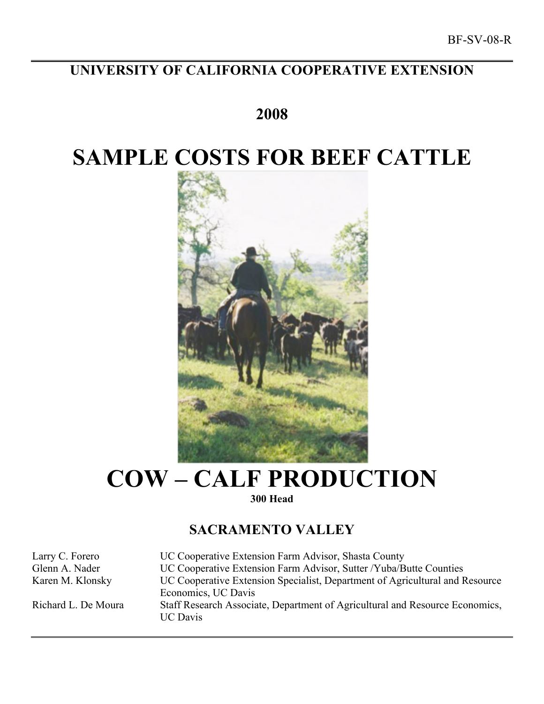# **UNIVERSITY OF CALIFORNIA COOPERATIVE EXTENSION**

# **2008**

# **SAMPLE COSTS FOR BEEF CATTLE**



# **COW – CALF PRODUCTION 300 Head**

## **SACRAMENTO VALLEY**

Larry C. Forero UC Cooperative Extension Farm Advisor, Shasta County Glenn A. Nader UC Cooperative Extension Farm Advisor, Sutter /Yuba/Butte Counties Karen M. Klonsky UC Cooperative Extension Specialist, Department of Agricultural and Resource Economics, UC Davis Richard L. De Moura Staff Research Associate, Department of Agricultural and Resource Economics, UC Davis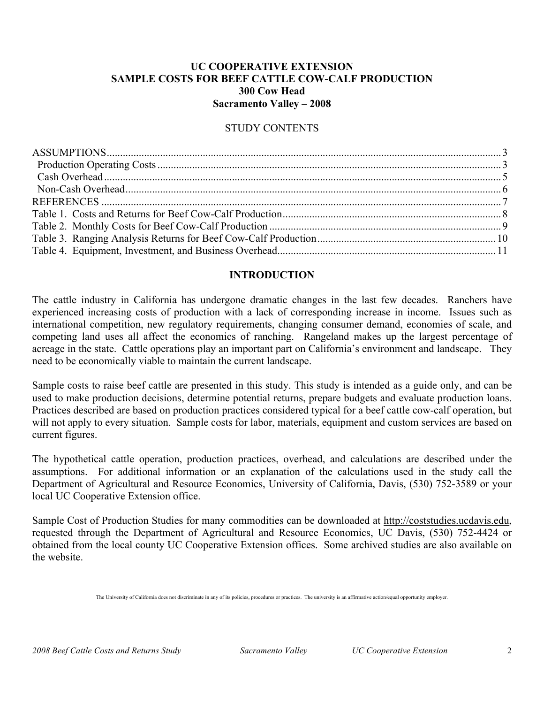### **UC COOPERATIVE EXTENSION SAMPLE COSTS FOR BEEF CATTLE COW-CALF PRODUCTION 300 Cow Head Sacramento Valley – 2008**

#### STUDY CONTENTS

#### **INTRODUCTION**

The cattle industry in California has undergone dramatic changes in the last few decades. Ranchers have experienced increasing costs of production with a lack of corresponding increase in income. Issues such as international competition, new regulatory requirements, changing consumer demand, economies of scale, and competing land uses all affect the economics of ranching. Rangeland makes up the largest percentage of acreage in the state. Cattle operations play an important part on California's environment and landscape. They need to be economically viable to maintain the current landscape.

Sample costs to raise beef cattle are presented in this study. This study is intended as a guide only, and can be used to make production decisions, determine potential returns, prepare budgets and evaluate production loans. Practices described are based on production practices considered typical for a beef cattle cow-calf operation, but will not apply to every situation. Sample costs for labor, materials, equipment and custom services are based on current figures.

The hypothetical cattle operation, production practices, overhead, and calculations are described under the assumptions. For additional information or an explanation of the calculations used in the study call the Department of Agricultural and Resource Economics, University of California, Davis, (530) 752-3589 or your local UC Cooperative Extension office.

Sample Cost of Production Studies for many commodities can be downloaded at http://coststudies.ucdavis.edu, requested through the Department of Agricultural and Resource Economics, UC Davis, (530) 752-4424 or obtained from the local county UC Cooperative Extension offices. Some archived studies are also available on the website.

The University of California does not discriminate in any of its policies, procedures or practices. The university is an affirmative action/equal opportunity employer.

*2008 Beef Cattle Costs and Returns Study Sacramento Valley UC Cooperative Extension* 2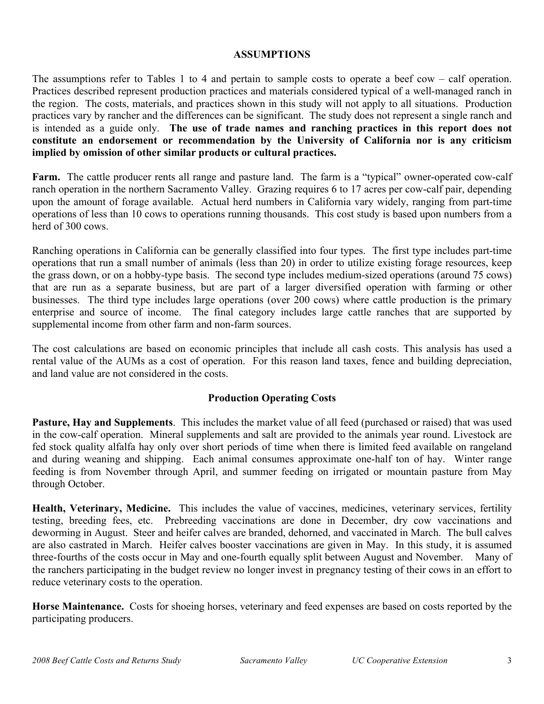#### **ASSUMPTIONS**

The assumptions refer to Tables 1 to 4 and pertain to sample costs to operate a beef cow – calf operation. Practices described represent production practices and materials considered typical of a well-managed ranch in the region. The costs, materials, and practices shown in this study will not apply to all situations. Production practices vary by rancher and the differences can be significant. The study does not represent a single ranch and is intended as a guide only. **The use of trade names and ranching practices in this report does not constitute an endorsement or recommendation by the University of California nor is any criticism implied by omission of other similar products or cultural practices.**

**Farm.** The cattle producer rents all range and pasture land. The farm is a "typical" owner-operated cow-calf ranch operation in the northern Sacramento Valley. Grazing requires 6 to 17 acres per cow-calf pair, depending upon the amount of forage available. Actual herd numbers in California vary widely, ranging from part-time operations of less than 10 cows to operations running thousands. This cost study is based upon numbers from a herd of 300 cows.

Ranching operations in California can be generally classified into four types. The first type includes part-time operations that run a small number of animals (less than 20) in order to utilize existing forage resources, keep the grass down, or on a hobby-type basis. The second type includes medium-sized operations (around 75 cows) that are run as a separate business, but are part of a larger diversified operation with farming or other businesses. The third type includes large operations (over 200 cows) where cattle production is the primary enterprise and source of income. The final category includes large cattle ranches that are supported by supplemental income from other farm and non-farm sources.

The cost calculations are based on economic principles that include all cash costs. This analysis has used a rental value of the AUMs as a cost of operation. For this reason land taxes, fence and building depreciation, and land value are not considered in the costs.

### **Production Operating Costs**

**Pasture, Hay and Supplements**. This includes the market value of all feed (purchased or raised) that was used in the cow-calf operation. Mineral supplements and salt are provided to the animals year round. Livestock are fed stock quality alfalfa hay only over short periods of time when there is limited feed available on rangeland and during weaning and shipping. Each animal consumes approximate one-half ton of hay. Winter range feeding is from November through April, and summer feeding on irrigated or mountain pasture from May through October.

**Health, Veterinary, Medicine.** This includes the value of vaccines, medicines, veterinary services, fertility testing, breeding fees, etc. Prebreeding vaccinations are done in December, dry cow vaccinations and deworming in August. Steer and heifer calves are branded, dehorned, and vaccinated in March. The bull calves are also castrated in March. Heifer calves booster vaccinations are given in May. In this study, it is assumed three-fourths of the costs occur in May and one-fourth equally split between August and November. Many of the ranchers participating in the budget review no longer invest in pregnancy testing of their cows in an effort to reduce veterinary costs to the operation.

**Horse Maintenance.** Costs for shoeing horses, veterinary and feed expenses are based on costs reported by the participating producers.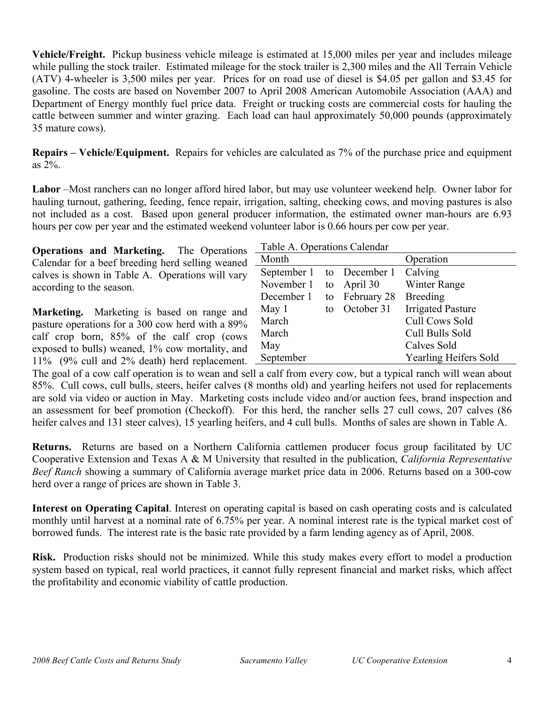**Vehicle/Freight.** Pickup business vehicle mileage is estimated at 15,000 miles per year and includes mileage while pulling the stock trailer. Estimated mileage for the stock trailer is 2,300 miles and the All Terrain Vehicle (ATV) 4-wheeler is 3,500 miles per year. Prices for on road use of diesel is \$4.05 per gallon and \$3.45 for gasoline. The costs are based on November 2007 to April 2008 American Automobile Association (AAA) and Department of Energy monthly fuel price data. Freight or trucking costs are commercial costs for hauling the cattle between summer and winter grazing. Each load can haul approximately 50,000 pounds (approximately 35 mature cows).

**Repairs – Vehicle/Equipment.** Repairs for vehicles are calculated as 7% of the purchase price and equipment as 2%.

**Labor** –Most ranchers can no longer afford hired labor, but may use volunteer weekend help. Owner labor for hauling turnout, gathering, feeding, fence repair, irrigation, salting, checking cows, and moving pastures is also not included as a cost. Based upon general producer information, the estimated owner man-hours are 6.93 hours per cow per year and the estimated weekend volunteer labor is 0.66 hours per cow per year.

**Operations and Marketing.** The Operations – Calendar for a beef breeding herd selling weaned calves is shown in Table A. Operations will vary according to the season.

**Marketing.** Marketing is based on range and pasture operations for a 300 cow herd with a 89% calf crop born, 85% of the calf crop (cows exposed to bulls) weaned, 1% cow mortality, and 11% (9% cull and 2% death) herd replacement.

| Table A. Operations Calendar |    |               |                              |  |  |  |  |  |  |
|------------------------------|----|---------------|------------------------------|--|--|--|--|--|--|
| Month                        |    |               | Operation                    |  |  |  |  |  |  |
| September 1                  |    | to December 1 | Calving                      |  |  |  |  |  |  |
| November 1                   | to | April 30      | Winter Range                 |  |  |  |  |  |  |
| December 1                   | to | February 28   | <b>Breeding</b>              |  |  |  |  |  |  |
| May 1                        | to | October 31    | <b>Irrigated Pasture</b>     |  |  |  |  |  |  |
| March                        |    |               | <b>Cull Cows Sold</b>        |  |  |  |  |  |  |
| March                        |    |               | Cull Bulls Sold              |  |  |  |  |  |  |
| May                          |    |               | Calves Sold                  |  |  |  |  |  |  |
| September                    |    |               | <b>Yearling Heifers Sold</b> |  |  |  |  |  |  |

The goal of a cow calf operation is to wean and sell a calf from every cow, but a typical ranch will wean about 85%. Cull cows, cull bulls, steers, heifer calves (8 months old) and yearling heifers not used for replacements are sold via video or auction in May. Marketing costs include video and/or auction fees, brand inspection and an assessment for beef promotion (Checkoff). For this herd, the rancher sells 27 cull cows, 207 calves (86 heifer calves and 131 steer calves), 15 yearling heifers, and 4 cull bulls. Months of sales are shown in Table A.

**Returns.** Returns are based on a Northern California cattlemen producer focus group facilitated by UC Cooperative Extension and Texas A & M University that resulted in the publication, *California Representative Beef Ranch* showing a summary of California average market price data in 2006. Returns based on a 300-cow herd over a range of prices are shown in Table 3.

**Interest on Operating Capital**. Interest on operating capital is based on cash operating costs and is calculated monthly until harvest at a nominal rate of 6.75% per year. A nominal interest rate is the typical market cost of borrowed funds. The interest rate is the basic rate provided by a farm lending agency as of April, 2008.

**Risk.** Production risks should not be minimized. While this study makes every effort to model a production system based on typical, real world practices, it cannot fully represent financial and market risks, which affect the profitability and economic viability of cattle production.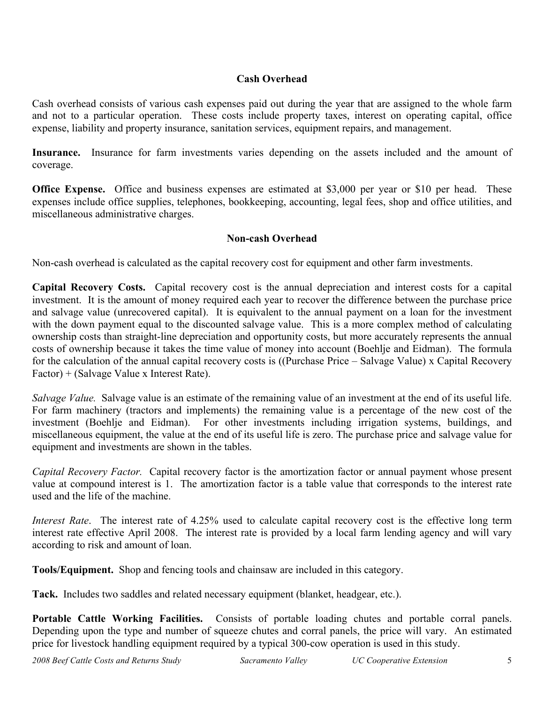## **Cash Overhead**

Cash overhead consists of various cash expenses paid out during the year that are assigned to the whole farm and not to a particular operation. These costs include property taxes, interest on operating capital, office expense, liability and property insurance, sanitation services, equipment repairs, and management.

**Insurance.** Insurance for farm investments varies depending on the assets included and the amount of coverage.

**Office Expense.** Office and business expenses are estimated at \$3,000 per year or \$10 per head. These expenses include office supplies, telephones, bookkeeping, accounting, legal fees, shop and office utilities, and miscellaneous administrative charges.

## **Non-cash Overhead**

Non-cash overhead is calculated as the capital recovery cost for equipment and other farm investments.

**Capital Recovery Costs.** Capital recovery cost is the annual depreciation and interest costs for a capital investment. It is the amount of money required each year to recover the difference between the purchase price and salvage value (unrecovered capital). It is equivalent to the annual payment on a loan for the investment with the down payment equal to the discounted salvage value. This is a more complex method of calculating ownership costs than straight-line depreciation and opportunity costs, but more accurately represents the annual costs of ownership because it takes the time value of money into account (Boehlje and Eidman). The formula for the calculation of the annual capital recovery costs is ((Purchase Price – Salvage Value) x Capital Recovery Factor) + (Salvage Value x Interest Rate).

*Salvage Value.* Salvage value is an estimate of the remaining value of an investment at the end of its useful life. For farm machinery (tractors and implements) the remaining value is a percentage of the new cost of the investment (Boehlje and Eidman). For other investments including irrigation systems, buildings, and miscellaneous equipment, the value at the end of its useful life is zero. The purchase price and salvage value for equipment and investments are shown in the tables.

*Capital Recovery Factor.* Capital recovery factor is the amortization factor or annual payment whose present value at compound interest is 1. The amortization factor is a table value that corresponds to the interest rate used and the life of the machine.

*Interest Rate*. The interest rate of 4.25% used to calculate capital recovery cost is the effective long term interest rate effective April 2008. The interest rate is provided by a local farm lending agency and will vary according to risk and amount of loan.

**Tools/Equipment.** Shop and fencing tools and chainsaw are included in this category.

**Tack.** Includes two saddles and related necessary equipment (blanket, headgear, etc.).

**Portable Cattle Working Facilities.** Consists of portable loading chutes and portable corral panels. Depending upon the type and number of squeeze chutes and corral panels, the price will vary. An estimated price for livestock handling equipment required by a typical 300-cow operation is used in this study.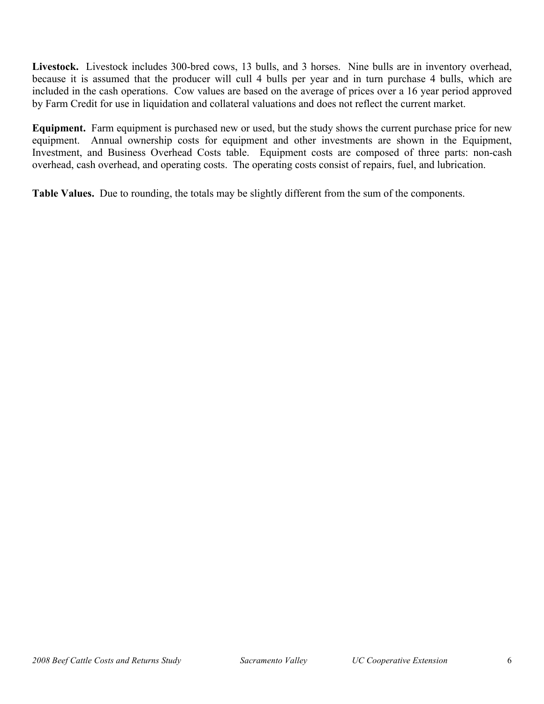**Livestock.** Livestock includes 300-bred cows, 13 bulls, and 3 horses. Nine bulls are in inventory overhead, because it is assumed that the producer will cull 4 bulls per year and in turn purchase 4 bulls, which are included in the cash operations. Cow values are based on the average of prices over a 16 year period approved by Farm Credit for use in liquidation and collateral valuations and does not reflect the current market.

**Equipment.** Farm equipment is purchased new or used, but the study shows the current purchase price for new equipment. Annual ownership costs for equipment and other investments are shown in the Equipment, Investment, and Business Overhead Costs table. Equipment costs are composed of three parts: non-cash overhead, cash overhead, and operating costs. The operating costs consist of repairs, fuel, and lubrication.

**Table Values.** Due to rounding, the totals may be slightly different from the sum of the components.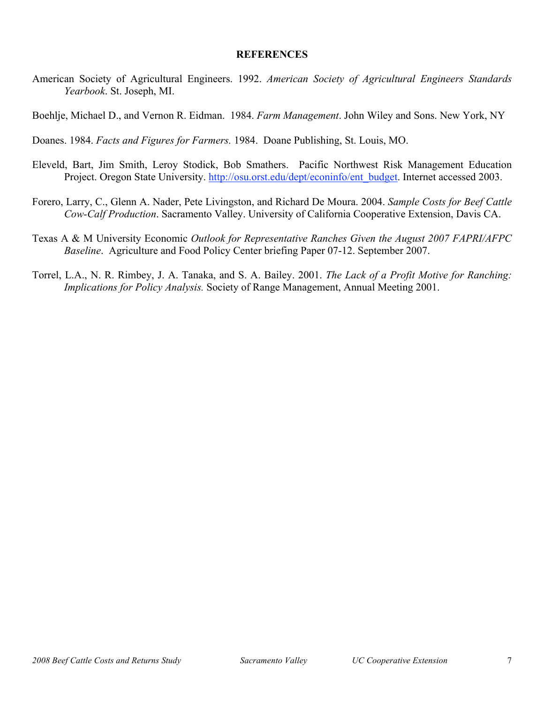#### **REFERENCES**

American Society of Agricultural Engineers. 1992. *American Society of Agricultural Engineers Standards Yearbook*. St. Joseph, MI.

Boehlje, Michael D., and Vernon R. Eidman. 1984. *Farm Management*. John Wiley and Sons. New York, NY

Doanes. 1984. *Facts and Figures for Farmers.* 1984. Doane Publishing, St. Louis, MO.

- Eleveld, Bart, Jim Smith, Leroy Stodick, Bob Smathers. Pacific Northwest Risk Management Education Project. Oregon State University. http://osu.orst.edu/dept/econinfo/ent\_budget. Internet accessed 2003.
- Forero, Larry, C., Glenn A. Nader, Pete Livingston, and Richard De Moura. 2004. *Sample Costs for Beef Cattle Cow-Calf Production*. Sacramento Valley. University of California Cooperative Extension, Davis CA.
- Texas A & M University Economic *Outlook for Representative Ranches Given the August 2007 FAPRI/AFPC Baseline*. Agriculture and Food Policy Center briefing Paper 07-12. September 2007.
- Torrel, L.A., N. R. Rimbey, J. A. Tanaka, and S. A. Bailey. 2001. *The Lack of a Profit Motive for Ranching: Implications for Policy Analysis.* Society of Range Management, Annual Meeting 2001.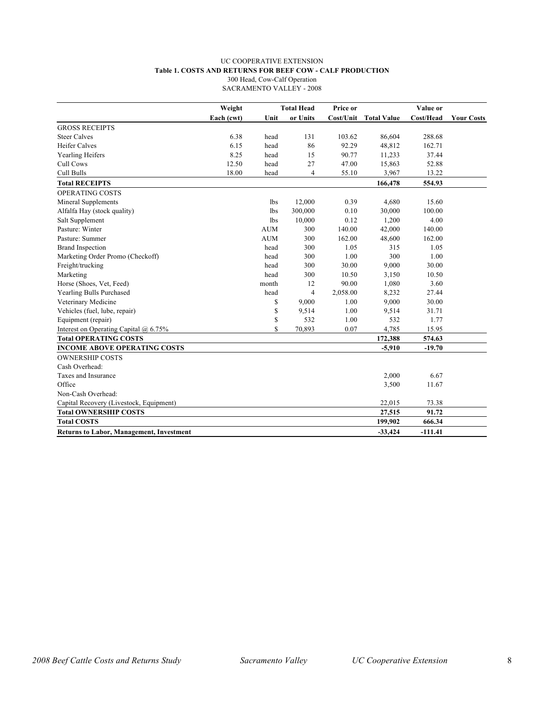#### UC COOPERATIVE EXTENSION **Table 1. COSTS AND RETURNS FOR BEEF COW - CALF PRODUCTION** 300 Head, Cow-Calf Operation

SACRAMENTO VALLEY - 2008

|                                                 | Weight     |            | <b>Total Head</b> | Price or  |                    | Value or  |                   |
|-------------------------------------------------|------------|------------|-------------------|-----------|--------------------|-----------|-------------------|
|                                                 | Each (cwt) | Unit       | or Units          | Cost/Unit | <b>Total Value</b> | Cost/Head | <b>Your Costs</b> |
| <b>GROSS RECEIPTS</b>                           |            |            |                   |           |                    |           |                   |
| <b>Steer Calves</b>                             | 6.38       | head       | 131               | 103.62    | 86,604             | 288.68    |                   |
| <b>Heifer Calves</b>                            | 6.15       | head       | 86                | 92.29     | 48,812             | 162.71    |                   |
| <b>Yearling Heifers</b>                         | 8.25       | head       | 15                | 90.77     | 11,233             | 37.44     |                   |
| Cull Cows                                       | 12.50      | head       | 27                | 47.00     | 15,863             | 52.88     |                   |
| Cull Bulls                                      | 18.00      | head       | 4                 | 55.10     | 3,967              | 13.22     |                   |
| <b>Total RECEIPTS</b>                           |            |            |                   |           | 166,478            | 554.93    |                   |
| OPERATING COSTS                                 |            |            |                   |           |                    |           |                   |
| Mineral Supplements                             |            | lbs        | 12,000            | 0.39      | 4,680              | 15.60     |                   |
| Alfalfa Hay (stock quality)                     |            | <b>lbs</b> | 300,000           | 0.10      | 30,000             | 100.00    |                   |
| Salt Supplement                                 |            | <b>lbs</b> | 10,000            | 0.12      | 1,200              | 4.00      |                   |
| Pasture: Winter                                 |            | <b>AUM</b> | 300               | 140.00    | 42,000             | 140.00    |                   |
| Pasture: Summer                                 |            | <b>AUM</b> | 300               | 162.00    | 48,600             | 162.00    |                   |
| <b>Brand Inspection</b>                         |            | head       | 300               | 1.05      | 315                | 1.05      |                   |
| Marketing Order Promo (Checkoff)                |            | head       | 300               | 1.00      | 300                | 1.00      |                   |
| Freight/trucking                                |            | head       | 300               | 30.00     | 9,000              | 30.00     |                   |
| Marketing                                       |            | head       | 300               | 10.50     | 3,150              | 10.50     |                   |
| Horse (Shoes, Vet, Feed)                        |            | month      | 12                | 90.00     | 1,080              | 3.60      |                   |
| Yearling Bulls Purchased                        |            | head       | $\overline{4}$    | 2,058.00  | 8,232              | 27.44     |                   |
| Veterinary Medicine                             |            | \$         | 9,000             | 1.00      | 9,000              | 30.00     |                   |
| Vehicles (fuel, lube, repair)                   |            | \$         | 9,514             | 1.00      | 9,514              | 31.71     |                   |
| Equipment (repair)                              |            | \$         | 532               | 1.00      | 532                | 1.77      |                   |
| Interest on Operating Capital @ 6.75%           |            | \$         | 70,893            | 0.07      | 4,785              | 15.95     |                   |
| <b>Total OPERATING COSTS</b>                    |            |            |                   |           | 172,388            | 574.63    |                   |
| <b>INCOME ABOVE OPERATING COSTS</b>             |            |            |                   |           | $-5,910$           | $-19.70$  |                   |
| <b>OWNERSHIP COSTS</b>                          |            |            |                   |           |                    |           |                   |
| Cash Overhead:                                  |            |            |                   |           |                    |           |                   |
| Taxes and Insurance                             |            |            |                   |           | 2,000              | 6.67      |                   |
| Office                                          |            |            |                   |           | 3,500              | 11.67     |                   |
| Non-Cash Overhead:                              |            |            |                   |           |                    |           |                   |
| Capital Recovery (Livestock, Equipment)         |            |            |                   |           | 22,015             | 73.38     |                   |
| <b>Total OWNERSHIP COSTS</b>                    |            |            |                   |           | 27,515             | 91.72     |                   |
| <b>Total COSTS</b>                              |            |            |                   |           | 199,902            | 666.34    |                   |
| <b>Returns to Labor, Management, Investment</b> |            |            |                   |           | $-33,424$          | $-111.41$ |                   |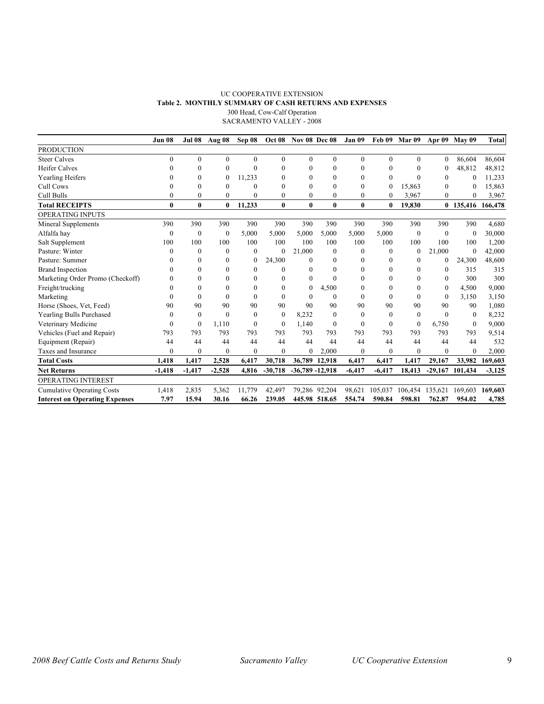#### UC COOPERATIVE EXTENSION **Table 2. MONTHLY SUMMARY OF CASH RETURNS AND EXPENSES** 300 Head, Cow-Calf Operation SACRAMENTO VALLEY - 2008

|                                       | Jun 08       | <b>Jul 08</b> | Aug 08         | Sep 08           | <b>Oct 08</b> | <b>Nov 08 Dec 08</b> |               | Jan 09   | Feb 09       | Mar 09       |              | Apr 09 May 09     | <b>Total</b> |
|---------------------------------------|--------------|---------------|----------------|------------------|---------------|----------------------|---------------|----------|--------------|--------------|--------------|-------------------|--------------|
| <b>PRODUCTION</b>                     |              |               |                |                  |               |                      |               |          |              |              |              |                   |              |
| <b>Steer Calves</b>                   | $\Omega$     | $\mathbf{0}$  | $\overline{0}$ | $\Omega$         | $\Omega$      | $\Omega$             | $\Omega$      | $\Omega$ | $\Omega$     | $\theta$     | $\mathbf{0}$ | 86.604            | 86,604       |
| <b>Heifer Calves</b>                  | 0            | $\mathbf{0}$  | $\theta$       | $\Omega$         | $\theta$      | 0                    | $\theta$      | 0        | $\mathbf{0}$ | $\Omega$     | $\theta$     | 48,812            | 48,812       |
| Yearling Heifers                      | 0            | $\theta$      | $\mathbf{0}$   | 11,233           | $\Omega$      | 0                    | $\Omega$      | $\theta$ | $\Omega$     | $\Omega$     | $\theta$     | $\theta$          | 11,233       |
| Cull Cows                             | 0            | $\Omega$      | $\Omega$       | $\Omega$         | $\Omega$      | 0                    | $\Omega$      | $\Omega$ | 0            | 15,863       | $\Omega$     | $\theta$          | 15,863       |
| Cull Bulls                            | 0            | $\theta$      | $\mathbf{0}$   | $\theta$         | $\theta$      | $\theta$             | $\theta$      | $\theta$ | $\mathbf{0}$ | 3,967        | $\Omega$     | $\theta$          | 3,967        |
| <b>Total RECEIPTS</b>                 | $\bf{0}$     | $\bf{0}$      | $\bf{0}$       | 11,233           | $\bf{0}$      | $\bf{0}$             | $\bf{0}$      | 0        | $\bf{0}$     | 19.830       |              | 0 135,416 166,478 |              |
| <b>OPERATING INPUTS</b>               |              |               |                |                  |               |                      |               |          |              |              |              |                   |              |
| Mineral Supplements                   | 390          | 390           | 390            | 390              | 390           | 390                  | 390           | 390      | 390          | 390          | 390          | 390               | 4,680        |
| Alfalfa hay                           | $\theta$     | $\theta$      | $\theta$       | 5,000            | 5,000         | 5,000                | 5,000         | 5,000    | 5,000        | $\theta$     | $\theta$     | $\Omega$          | 30,000       |
| Salt Supplement                       | 100          | 100           | 100            | 100              | 100           | 100                  | 100           | 100      | 100          | 100          | 100          | 100               | 1,200        |
| Pasture: Winter                       | $\theta$     | $\theta$      | $\Omega$       | $\theta$         | $\theta$      | 21,000               | $\theta$      | $\Omega$ | $\Omega$     | $\theta$     | 21,000       | $\theta$          | 42,000       |
| Pasture: Summer                       | 0            | $\Omega$      | $\Omega$       | $\boldsymbol{0}$ | 24,300        | $\Omega$             | $\theta$      |          | 0            | $\theta$     | $\mathbf{0}$ | 24,300            | 48,600       |
| <b>Brand Inspection</b>               | 0            | $\theta$      | 0              | $\theta$         | $\Omega$      | 0                    | 0             | 0        | 0            | $\theta$     | $\theta$     | 315               | 315          |
| Marketing Order Promo (Checkoff)      |              | $\theta$      | $\overline{0}$ | $\theta$         | $\Omega$      | 0                    | $\theta$      |          | $\theta$     | $\Omega$     | $\Omega$     | 300               | 300          |
| Freight/trucking                      | 0            | $\Omega$      | 0              | 0                | $\Omega$      | $\theta$             | 4,500         |          | 0            | $\theta$     | $\theta$     | 4,500             | 9,000        |
| Marketing                             | $\theta$     | $\theta$      | $\theta$       | $\theta$         | $\theta$      | $\theta$             | $\theta$      | $\theta$ | $\Omega$     | $\theta$     | $\theta$     | 3,150             | 3,150        |
| Horse (Shoes, Vet, Feed)              | 90           | 90            | 90             | 90               | 90            | 90                   | 90            | 90       | 90           | 90           | 90           | 90                | 1,080        |
| Yearling Bulls Purchased              | $\theta$     | $\theta$      | $\theta$       | $\theta$         | $\mathbf{0}$  | 8,232                | $\theta$      | $\Omega$ | $\theta$     | $\theta$     | $\theta$     | $\Omega$          | 8,232        |
| Veterinary Medicine                   | $\theta$     | $\theta$      | 1,110          | $\theta$         | $\mathbf{0}$  | 1.140                | $\Omega$      | $\Omega$ | $\mathbf{0}$ | $\mathbf{0}$ | 6,750        | $\Omega$          | 9,000        |
| Vehicles (Fuel and Repair)            | 793          | 793           | 793            | 793              | 793           | 793                  | 793           | 793      | 793          | 793          | 793          | 793               | 9,514        |
| Equipment (Repair)                    | 44           | 44            | 44             | 44               | 44            | 44                   | 44            | 44       | 44           | 44           | 44           | 44                | 532          |
| Taxes and Insurance                   | $\mathbf{0}$ | $\mathbf{0}$  | $\theta$       | $\mathbf{0}$     | $\mathbf{0}$  | 0                    | 2.000         | $\Omega$ | $\mathbf{0}$ | $\mathbf{0}$ | $\mathbf{0}$ | $\mathbf{0}$      | 2,000        |
| <b>Total Costs</b>                    | 1,418        | 1,417         | 2,528          | 6,417            | 30,718        | 36,789               | 12,918        | 6,417    | 6,417        | 1,417        | 29,167       | 33,982            | 169,603      |
| <b>Net Returns</b>                    | $-1,418$     | $-1,417$      | $-2.528$       | 4,816            | $-30,718$     | $-36,789 - 12,918$   |               | $-6,417$ | $-6,417$     | 18,413       | $-29,167$    | 101,434           | $-3,125$     |
| <b>OPERATING INTEREST</b>             |              |               |                |                  |               |                      |               |          |              |              |              |                   |              |
| <b>Cumulative Operating Costs</b>     | 1,418        | 2,835         | 5,362          | 11.779           | 42.497        |                      | 79,286 92,204 | 98.621   | 105.037      | 106.454      | 135,621      | 169.603           | 169,603      |
| <b>Interest on Operating Expenses</b> | 7.97         | 15.94         | 30.16          | 66.26            | 239.05        |                      | 445.98 518.65 | 554.74   | 590.84       | 598.81       | 762.87       | 954.02            | 4,785        |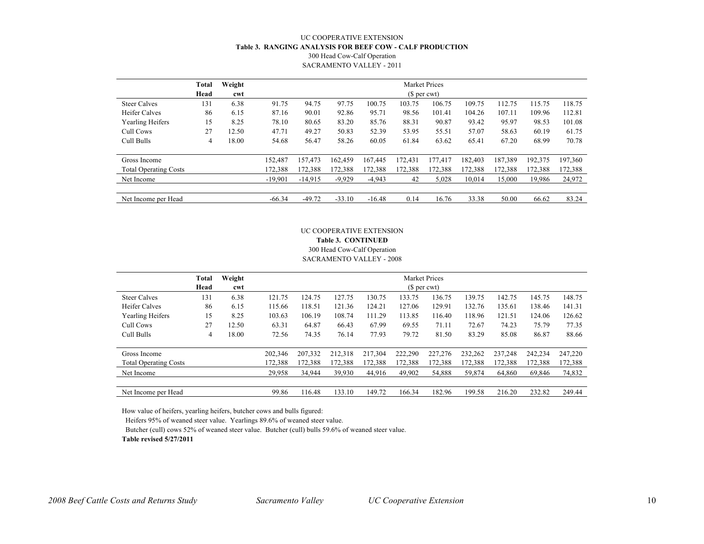#### UC COOPERATIVE EXTENSION **Table 3. RANGING ANALYSIS FOR BEEF COW - CALF PRODUCTION** 300 Head Cow-Calf Operation SACRAMENTO VALLEY - 2011

|                              | Total<br>Head | Weight<br>cwt |           | <b>Market Prices</b><br>(\$ per cwt) |          |          |         |         |         |         |         |         |
|------------------------------|---------------|---------------|-----------|--------------------------------------|----------|----------|---------|---------|---------|---------|---------|---------|
| <b>Steer Calves</b>          | 131           | 6.38          | 91.75     | 94.75                                | 97.75    | 100.75   | 103.75  | 106.75  | 109.75  | 112.75  | 115.75  | 118.75  |
| <b>Heifer Calves</b>         | 86            | 6.15          | 87.16     | 90.01                                | 92.86    | 95.71    | 98.56   | 101.41  | 104.26  | 107.11  | 109.96  | 112.81  |
| Yearling Heifers             | 15            | 8.25          | 78.10     | 80.65                                | 83.20    | 85.76    | 88.31   | 90.87   | 93.42   | 95.97   | 98.53   | 101.08  |
| Cull Cows                    | 27            | 12.50         | 47.71     | 49.27                                | 50.83    | 52.39    | 53.95   | 55.51   | 57.07   | 58.63   | 60.19   | 61.75   |
| Cull Bulls                   | 4             | 18.00         | 54.68     | 56.47                                | 58.26    | 60.05    | 61.84   | 63.62   | 65.41   | 67.20   | 68.99   | 70.78   |
| Gross Income                 |               |               | 152,487   | 157,473                              | 162.459  | 167,445  | 172,431 | 177.417 | 182,403 | 187,389 | 192,375 | 197,360 |
| <b>Total Operating Costs</b> |               |               | 172,388   | 172,388                              | 172,388  | 172,388  | 172,388 | 172,388 | 172,388 | 172,388 | 172,388 | 172,388 |
| Net Income                   |               |               | $-19,901$ | $-14,915$                            | $-9,929$ | $-4,943$ | 42      | 5,028   | 10,014  | 15,000  | 19,986  | 24,972  |
| Net Income per Head          |               |               | $-66.34$  | $-49.72$                             | $-33.10$ | $-16.48$ | 0.14    | 16.76   | 33.38   | 50.00   | 66.62   | 83.24   |

#### UC COOPERATIVE EXTENSION **Table 3. CONTINUED** 300 Head Cow-Calf Operation SACRAMENTO VALLEY - 2008

|                                              | Total<br>Head | Weight<br>cwt |                    | <b>Market Prices</b><br>(\$ per cwt) |                    |                    |                    |                    |                    |                    |                    |                    |
|----------------------------------------------|---------------|---------------|--------------------|--------------------------------------|--------------------|--------------------|--------------------|--------------------|--------------------|--------------------|--------------------|--------------------|
| <b>Steer Calves</b>                          | 131           | 6.38          | 121.75             | 124.75                               | 127.75             | 130.75             | 133.75             | 136.75             | 139.75             | 142.75             | 145.75             | 148.75             |
| <b>Heifer Calves</b>                         | 86            | 6.15          | 115.66             | 118.51                               | 121.36             | 124.21             | 127.06             | 129.91             | 132.76             | 135.61             | 138.46             | 141.31             |
| Yearling Heifers                             | 15            | 8.25          | 103.63             | 106.19                               | 108.74             | 111.29             | 113.85             | 116.40             | 118.96             | 121.51             | 124.06             | 126.62             |
| Cull Cows                                    | 27            | 12.50         | 63.31              | 64.87                                | 66.43              | 67.99              | 69.55              | 71.11              | 72.67              | 74.23              | 75.79              | 77.35              |
| Cull Bulls                                   | 4             | 18.00         | 72.56              | 74.35                                | 76.14              | 77.93              | 79.72              | 81.50              | 83.29              | 85.08              | 86.87              | 88.66              |
| Gross Income<br><b>Total Operating Costs</b> |               |               | 202,346<br>172,388 | 207,332<br>172,388                   | 212,318<br>172,388 | 217,304<br>172,388 | 222,290<br>172,388 | 227,276<br>172,388 | 232,262<br>172,388 | 237,248<br>172,388 | 242,234<br>172,388 | 247,220<br>172,388 |
| Net Income                                   |               |               | 29,958             | 34,944                               | 39,930             | 44,916             | 49,902             | 54,888             | 59,874             | 64,860             | 69,846             | 74,832             |
| Net Income per Head                          |               |               | 99.86              | 116.48                               | 133.10             | 149.72             | 166.34             | 182.96             | 199.58             | 216.20             | 232.82             | 249.44             |

How value of heifers, yearling heifers, butcher cows and bulls figured:

Heifers 95% of weaned steer value. Yearlings 89.6% of weaned steer value.

Butcher (cull) cows 52% of weaned steer value. Butcher (cull) bulls 59.6% of weaned steer value.

**Table revised 5/27/2011**